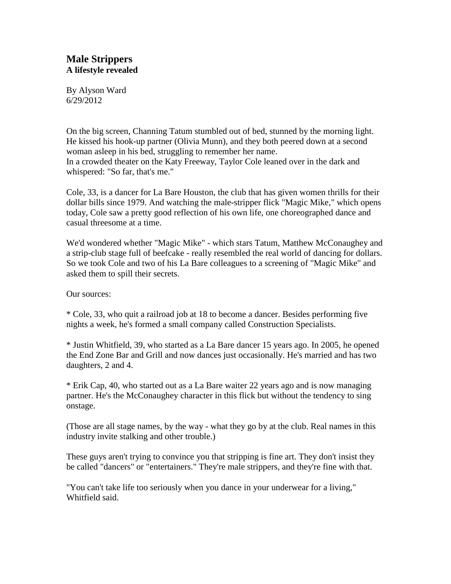# **Male Strippers A lifestyle revealed**

By Alyson Ward 6/29/2012

On the big screen, Channing Tatum stumbled out of bed, stunned by the morning light. He kissed his hook-up partner (Olivia Munn), and they both peered down at a second woman asleep in his bed, struggling to remember her name. In a crowded theater on the Katy Freeway, Taylor Cole leaned over in the dark and whispered: "So far, that's me."

Cole, 33, is a dancer for La Bare Houston, the club that has given women thrills for their dollar bills since 1979. And watching the male-stripper flick "Magic Mike," which opens today, Cole saw a pretty good reflection of his own life, one choreographed dance and casual threesome at a time.

We'd wondered whether "Magic Mike" - which stars Tatum, Matthew McConaughey and a strip-club stage full of beefcake - really resembled the real world of dancing for dollars. So we took Cole and two of his La Bare colleagues to a screening of "Magic Mike" and asked them to spill their secrets.

Our sources:

\* Cole, 33, who quit a railroad job at 18 to become a dancer. Besides performing five nights a week, he's formed a small company called Construction Specialists.

\* Justin Whitfield, 39, who started as a La Bare dancer 15 years ago. In 2005, he opened the End Zone Bar and Grill and now dances just occasionally. He's married and has two daughters, 2 and 4.

\* Erik Cap, 40, who started out as a La Bare waiter 22 years ago and is now managing partner. He's the McConaughey character in this flick but without the tendency to sing onstage.

(Those are all stage names, by the way - what they go by at the club. Real names in this industry invite stalking and other trouble.)

These guys aren't trying to convince you that stripping is fine art. They don't insist they be called "dancers" or "entertainers." They're male strippers, and they're fine with that.

"You can't take life too seriously when you dance in your underwear for a living," Whitfield said.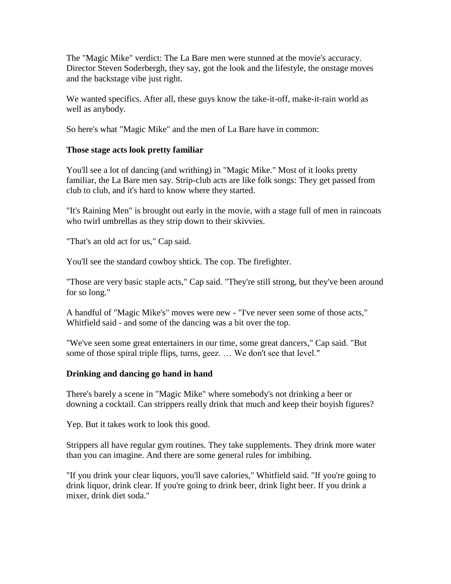The "Magic Mike" verdict: The La Bare men were stunned at the movie's accuracy. Director Steven Soderbergh, they say, got the look and the lifestyle, the onstage moves and the backstage vibe just right.

We wanted specifics. After all, these guys know the take-it-off, make-it-rain world as well as anybody.

So here's what "Magic Mike" and the men of La Bare have in common:

# **Those stage acts look pretty familiar**

You'll see a lot of dancing (and writhing) in "Magic Mike." Most of it looks pretty familiar, the La Bare men say. Strip-club acts are like folk songs: They get passed from club to club, and it's hard to know where they started.

"It's Raining Men" is brought out early in the movie, with a stage full of men in raincoats who twirl umbrellas as they strip down to their skivvies.

"That's an old act for us," Cap said.

You'll see the standard cowboy shtick. The cop. The firefighter.

"Those are very basic staple acts," Cap said. "They're still strong, but they've been around for so long."

A handful of "Magic Mike's" moves were new - "I've never seen some of those acts," Whitfield said - and some of the dancing was a bit over the top.

"We've seen some great entertainers in our time, some great dancers," Cap said. "But some of those spiral triple flips, turns, geez. … We don't see that level."

## **Drinking and dancing go hand in hand**

There's barely a scene in "Magic Mike" where somebody's not drinking a beer or downing a cocktail. Can strippers really drink that much and keep their boyish figures?

Yep. But it takes work to look this good.

Strippers all have regular gym routines. They take supplements. They drink more water than you can imagine. And there are some general rules for imbibing.

"If you drink your clear liquors, you'll save calories," Whitfield said. "If you're going to drink liquor, drink clear. If you're going to drink beer, drink light beer. If you drink a mixer, drink diet soda."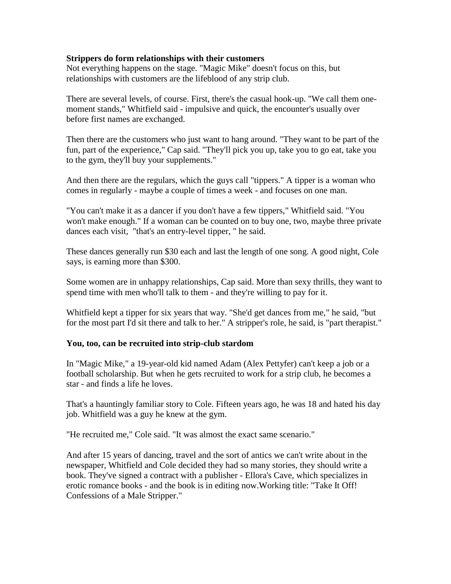## **Strippers do form relationships with their customers**

Not everything happens on the stage. "Magic Mike" doesn't focus on this, but relationships with customers are the lifeblood of any strip club.

There are several levels, of course. First, there's the casual hook-up. "We call them onemoment stands," Whitfield said - impulsive and quick, the encounter's usually over before first names are exchanged.

Then there are the customers who just want to hang around. "They want to be part of the fun, part of the experience," Cap said. "They'll pick you up, take you to go eat, take you to the gym, they'll buy your supplements."

And then there are the regulars, which the guys call "tippers." A tipper is a woman who comes in regularly - maybe a couple of times a week - and focuses on one man.

"You can't make it as a dancer if you don't have a few tippers," Whitfield said. "You won't make enough." If a woman can be counted on to buy one, two, maybe three private dances each visit, "that's an entry-level tipper, " he said.

These dances generally run \$30 each and last the length of one song. A good night, Cole says, is earning more than \$300.

Some women are in unhappy relationships, Cap said. More than sexy thrills, they want to spend time with men who'll talk to them - and they're willing to pay for it.

Whitfield kept a tipper for six years that way. "She'd get dances from me," he said, "but for the most part I'd sit there and talk to her." A stripper's role, he said, is "part therapist."

## **You, too, can be recruited into strip-club stardom**

In "Magic Mike," a 19-year-old kid named Adam (Alex Pettyfer) can't keep a job or a football scholarship. But when he gets recruited to work for a strip club, he becomes a star - and finds a life he loves.

That's a hauntingly familiar story to Cole. Fifteen years ago, he was 18 and hated his day job. Whitfield was a guy he knew at the gym.

"He recruited me," Cole said. "It was almost the exact same scenario."

And after 15 years of dancing, travel and the sort of antics we can't write about in the newspaper, Whitfield and Cole decided they had so many stories, they should write a book. They've signed a contract with a publisher - Ellora's Cave, which specializes in erotic romance books - and the book is in editing now.Working title: "Take It Off! Confessions of a Male Stripper."